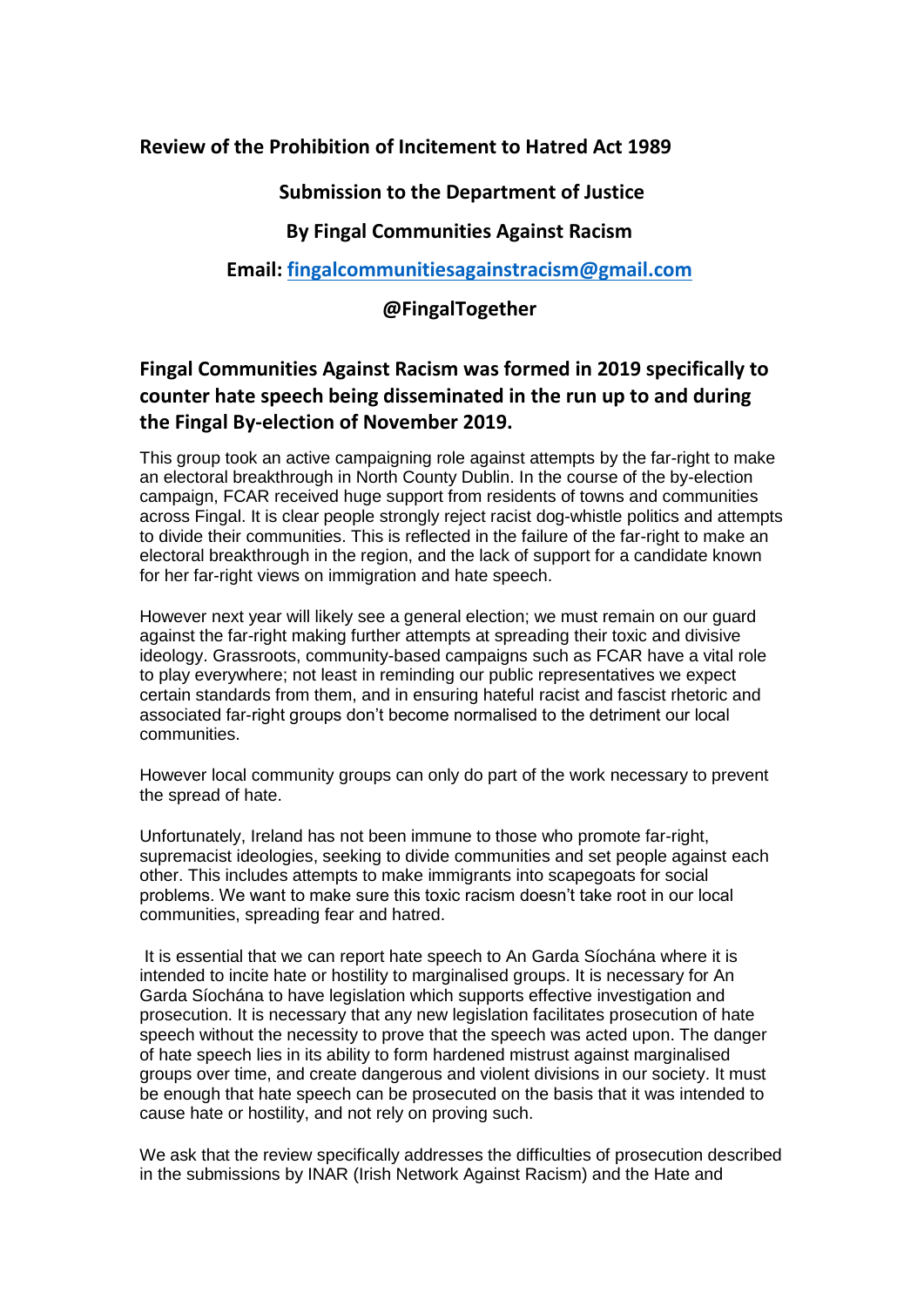## **Review of the Prohibition of Incitement to Hatred Act 1989**

## **Submission to the Department of Justice**

## **By Fingal Communities Against Racism**

**Email: [fingalcommunitiesagainstracism@gmail.com](mailto:fingalcommunitiesagainstracism@gmail.com)**

## **@FingalTogether**

# **Fingal Communities Against Racism was formed in 2019 specifically to counter hate speech being disseminated in the run up to and during the Fingal By-election of November 2019.**

This group took an active campaigning role against attempts by the far-right to make an electoral breakthrough in North County Dublin. In the course of the by-election campaign, FCAR received huge support from residents of towns and communities across Fingal. It is clear people strongly reject racist dog-whistle politics and attempts to divide their communities. This is reflected in the failure of the far-right to make an electoral breakthrough in the region, and the lack of support for a candidate known for her far-right views on immigration and hate speech.

However next year will likely see a general election; we must remain on our guard against the far-right making further attempts at spreading their toxic and divisive ideology. Grassroots, community-based campaigns such as FCAR have a vital role to play everywhere; not least in reminding our public representatives we expect certain standards from them, and in ensuring hateful racist and fascist rhetoric and associated far-right groups don't become normalised to the detriment our local communities.

However local community groups can only do part of the work necessary to prevent the spread of hate.

Unfortunately, Ireland has not been immune to those who promote far-right, supremacist ideologies, seeking to divide communities and set people against each other. This includes attempts to make immigrants into scapegoats for social problems. We want to make sure this toxic racism doesn't take root in our local communities, spreading fear and hatred.

It is essential that we can report hate speech to An Garda Síochána where it is intended to incite hate or hostility to marginalised groups. It is necessary for An Garda Síochána to have legislation which supports effective investigation and prosecution. It is necessary that any new legislation facilitates prosecution of hate speech without the necessity to prove that the speech was acted upon. The danger of hate speech lies in its ability to form hardened mistrust against marginalised groups over time, and create dangerous and violent divisions in our society. It must be enough that hate speech can be prosecuted on the basis that it was intended to cause hate or hostility, and not rely on proving such.

We ask that the review specifically addresses the difficulties of prosecution described in the submissions by INAR (Irish Network Against Racism) and the Hate and